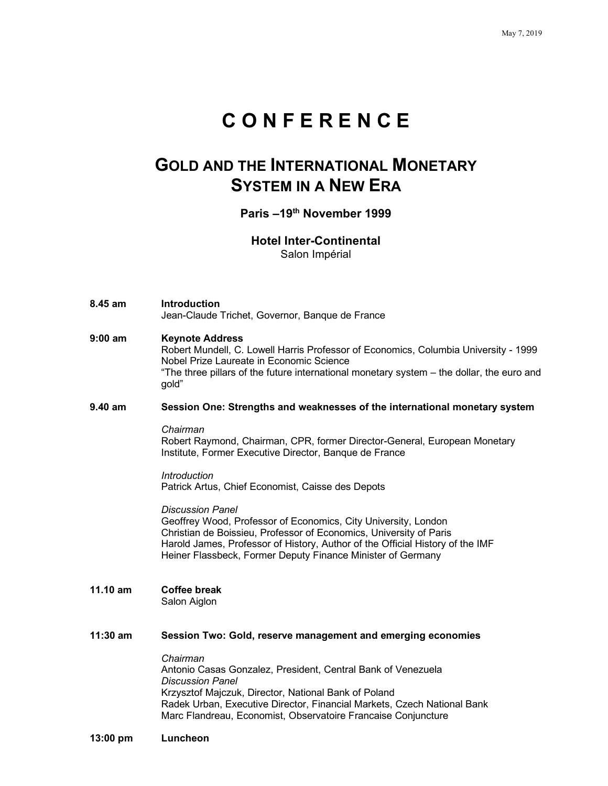# **C O N F E R E N C E**

## **GOLD AND THE INTERNATIONAL MONETARY SYSTEM IN A NEW ERA**

## **Paris –19th November 1999**

## **Hotel Inter-Continental**

Salon Impérial

- **8.45 am Introduction** Jean-Claude Trichet, Governor, Banque de France
- **9:00 am Keynote Address** Robert Mundell, C. Lowell Harris Professor of Economics, Columbia University - 1999 Nobel Prize Laureate in Economic Science "The three pillars of the future international monetary system – the dollar, the euro and gold"

#### **9.40 am Session One: Strengths and weaknesses of the international monetary system**

*Chairman*

Robert Raymond, Chairman, CPR, former Director-General, European Monetary Institute, Former Executive Director, Banque de France

#### *Introduction* Patrick Artus, Chief Economist, Caisse des Depots

*Discussion Panel* Geoffrey Wood, Professor of Economics, City University, London Christian de Boissieu, Professor of Economics, University of Paris Harold James, Professor of History, Author of the Official History of the IMF Heiner Flassbeck, Former Deputy Finance Minister of Germany

#### **11.10 am Coffee break**  Salon Aiglon

#### **11:30 am Session Two: Gold, reserve management and emerging economies**

*Chairman* Antonio Casas Gonzalez, President, Central Bank of Venezuela *Discussion Panel* Krzysztof Majczuk, Director, National Bank of Poland Radek Urban, Executive Director, Financial Markets, Czech National Bank Marc Flandreau, Economist, Observatoire Francaise Conjuncture